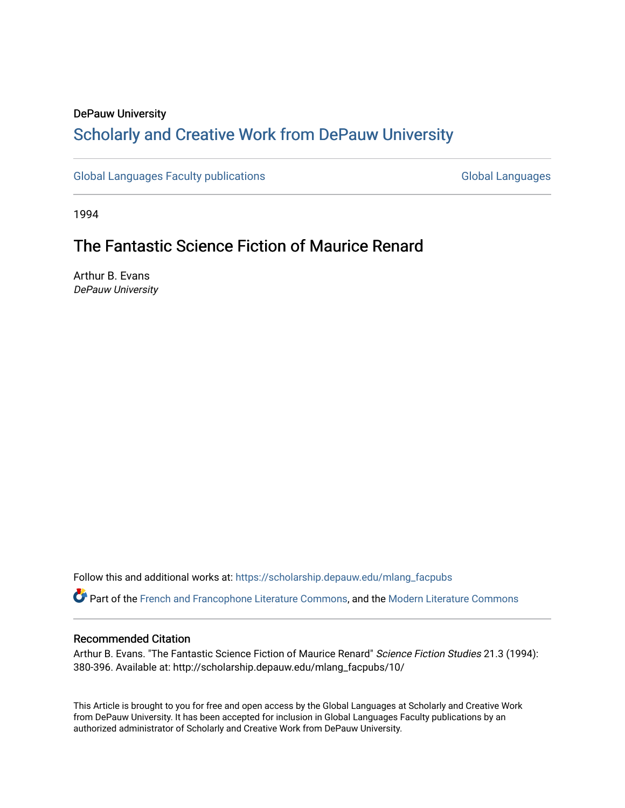## DePauw University Scholarly and [Creative Work from DePauw Univ](https://scholarship.depauw.edu/)ersity

[Global Languages Faculty publications](https://scholarship.depauw.edu/mlang_facpubs) [Global Languages](https://scholarship.depauw.edu/modernlanguages) Global Languages

1994

# The Fantastic Science Fiction of Maurice Renard

Arthur B. Evans DePauw University

Follow this and additional works at: [https://scholarship.depauw.edu/mlang\\_facpubs](https://scholarship.depauw.edu/mlang_facpubs?utm_source=scholarship.depauw.edu%2Fmlang_facpubs%2F10&utm_medium=PDF&utm_campaign=PDFCoverPages)

Part of the [French and Francophone Literature Commons,](https://network.bepress.com/hgg/discipline/465?utm_source=scholarship.depauw.edu%2Fmlang_facpubs%2F10&utm_medium=PDF&utm_campaign=PDFCoverPages) and the [Modern Literature Commons](https://network.bepress.com/hgg/discipline/1050?utm_source=scholarship.depauw.edu%2Fmlang_facpubs%2F10&utm_medium=PDF&utm_campaign=PDFCoverPages)

## Recommended Citation

Arthur B. Evans. "The Fantastic Science Fiction of Maurice Renard" Science Fiction Studies 21.3 (1994): 380-396. Available at: http://scholarship.depauw.edu/mlang\_facpubs/10/

This Article is brought to you for free and open access by the Global Languages at Scholarly and Creative Work from DePauw University. It has been accepted for inclusion in Global Languages Faculty publications by an authorized administrator of Scholarly and Creative Work from DePauw University.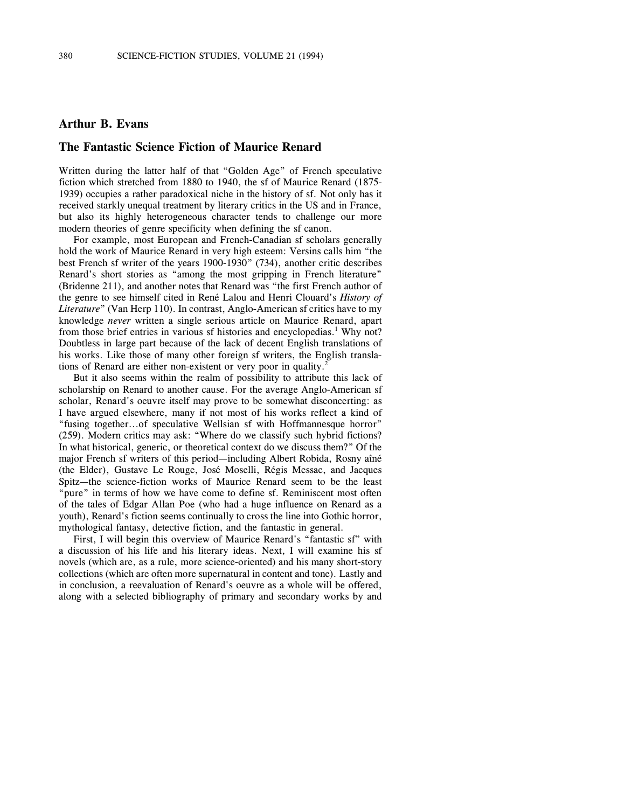### **Arthur B. Evans**

### **The Fantastic Science Fiction of Maurice Renard**

Written during the latter half of that "Golden Age" of French speculative fiction which stretched from 1880 to 1940, the sf of Maurice Renard (1875- 1939) occupies a rather paradoxical niche in the history of sf. Not only has it received starkly unequal treatment by literary critics in the US and in France, but also its highly heterogeneous character tends to challenge our more modern theories of genre specificity when defining the sf canon.

For example, most European and French-Canadian sf scholars generally hold the work of Maurice Renard in very high esteem: Versins calls him "the best French sf writer of the years 1900-1930" (734), another critic describes Renard's short stories as "among the most gripping in French literature" (Bridenne 211), and another notes that Renard was "the first French author of the genre to see himself cited in René Lalou and Henri Clouard's *History of Literature*" (Van Herp 110). In contrast, Anglo-American sf critics have to my knowledge *never* written a single serious article on Maurice Renard, apart from those brief entries in various sf histories and encyclopedias.<sup>1</sup> Why not? Doubtless in large part because of the lack of decent English translations of his works. Like those of many other foreign sf writers, the English translations of Renard are either non-existent or very poor in quality.<sup>2</sup>

But it also seems within the realm of possibility to attribute this lack of scholarship on Renard to another cause. For the average Anglo-American sf scholar, Renard's oeuvre itself may prove to be somewhat disconcerting: as I have argued elsewhere, many if not most of his works reflect a kind of "fusing together...of speculative Wellsian sf with Hoffmannesque horror" (259). Modern critics may ask: "Where do we classify such hybrid fictions? In what historical, generic, or theoretical context do we discuss them?" Of the major French sf writers of this period—including Albert Robida, Rosny aîné (the Elder), Gustave Le Rouge, José Moselli, Régis Messac, and Jacques Spitz—the science-fiction works of Maurice Renard seem to be the least "pure" in terms of how we have come to define sf. Reminiscent most often of the tales of Edgar Allan Poe (who had a huge influence on Renard as a youth), Renard's fiction seems continually to cross the line into Gothic horror, mythological fantasy, detective fiction, and the fantastic in general.

First, I will begin this overview of Maurice Renard's "fantastic sf" with a discussion of his life and his literary ideas. Next, I will examine his sf novels (which are, as a rule, more science-oriented) and his many short-story collections (which are often more supernatural in content and tone). Lastly and in conclusion, a reevaluation of Renard's oeuvre as a whole will be offered, along with a selected bibliography of primary and secondary works by and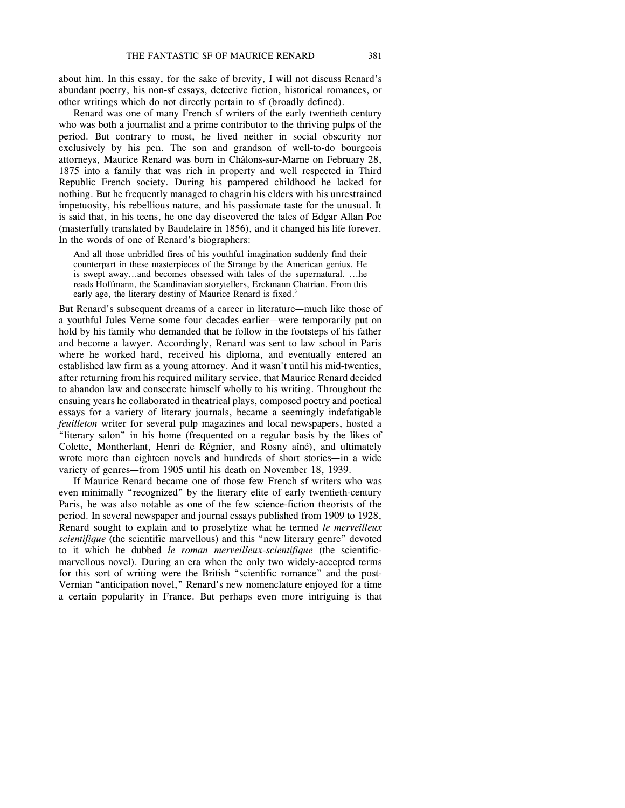about him. In this essay, for the sake of brevity, I will not discuss Renard's abundant poetry, his non-sf essays, detective fiction, historical romances, or other writings which do not directly pertain to sf (broadly defined).

Renard was one of many French sf writers of the early twentieth century who was both a journalist and a prime contributor to the thriving pulps of the period. But contrary to most, he lived neither in social obscurity nor exclusively by his pen. The son and grandson of well-to-do bourgeois attorneys, Maurice Renard was born in Châlons-sur-Marne on February 28, 1875 into a family that was rich in property and well respected in Third Republic French society. During his pampered childhood he lacked for nothing. But he frequently managed to chagrin his elders with his unrestrained impetuosity, his rebellious nature, and his passionate taste for the unusual. It is said that, in his teens, he one day discovered the tales of Edgar Allan Poe (masterfully translated by Baudelaire in 1856), and it changed his life forever. In the words of one of Renard's biographers:

And all those unbridled fires of his youthful imagination suddenly find their counterpart in these masterpieces of the Strange by the American genius. He is swept away...and becomes obsessed with tales of the supernatural. ...he reads Hoffmann, the Scandinavian storytellers, Erckmann Chatrian. From this early age, the literary destiny of Maurice Renard is fixed.<sup>3</sup>

But Renard's subsequent dreams of a career in literature—much like those of a youthful Jules Verne some four decades earlier—were temporarily put on hold by his family who demanded that he follow in the footsteps of his father and become a lawyer. Accordingly, Renard was sent to law school in Paris where he worked hard, received his diploma, and eventually entered an established law firm as a young attorney. And it wasn't until his mid-twenties, after returning from his required military service, that Maurice Renard decided to abandon law and consecrate himself wholly to his writing. Throughout the ensuing years he collaborated in theatrical plays, composed poetry and poetical essays for a variety of literary journals, became a seemingly indefatigable *feuilleton* writer for several pulp magazines and local newspapers, hosted a "literary salon" in his home (frequented on a regular basis by the likes of Colette, Montherlant, Henri de Régnier, and Rosny aîné), and ultimately wrote more than eighteen novels and hundreds of short stories—in a wide variety of genres—from 1905 until his death on November 18, 1939.

If Maurice Renard became one of those few French sf writers who was even minimally "recognized" by the literary elite of early twentieth-century Paris, he was also notable as one of the few science-fiction theorists of the period. In several newspaper and journal essays published from 1909 to 1928, Renard sought to explain and to proselytize what he termed *le merveilleux scientifique* (the scientific marvellous) and this "new literary genre" devoted to it which he dubbed *le roman merveilleux-scientifique* (the scientificmarvellous novel). During an era when the only two widely-accepted terms for this sort of writing were the British "scientific romance" and the post-Vernian "anticipation novel," Renard's new nomenclature enjoyed for a time a certain popularity in France. But perhaps even more intriguing is that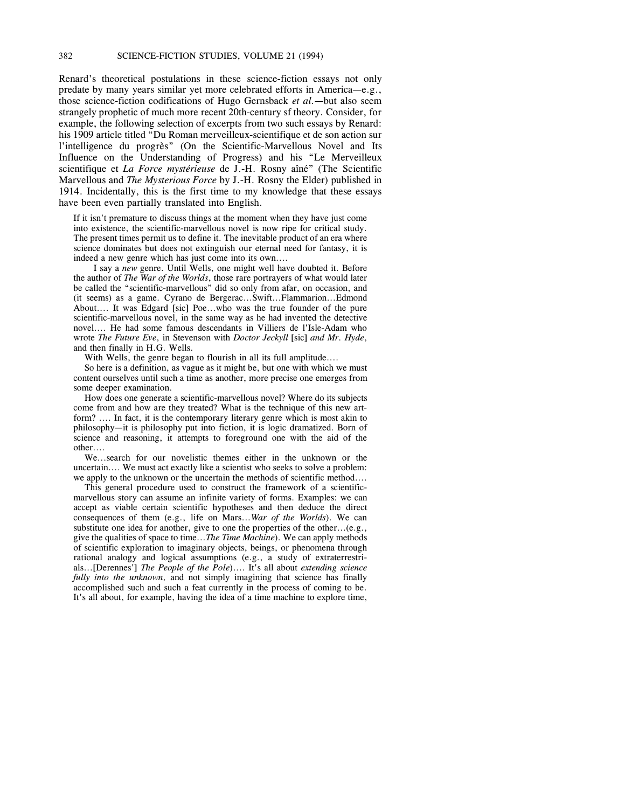Renard's theoretical postulations in these science-fiction essays not only predate by many years similar yet more celebrated efforts in America—e.g., those science-fiction codifications of Hugo Gernsback *et al.*—but also seem strangely prophetic of much more recent 20th-century sf theory. Consider, for example, the following selection of excerpts from two such essays by Renard: his 1909 article titled "Du Roman merveilleux-scientifique et de son action sur l'intelligence du progrès" (On the Scientific-Marvellous Novel and Its Influence on the Understanding of Progress) and his "Le Merveilleux scientifique et *La Force mystérieuse* de J.-H. Rosny aîné" (The Scientific Marvellous and *The Mysterious Force* by J.-H. Rosny the Elder) published in 1914. Incidentally, this is the first time to my knowledge that these essays have been even partially translated into English.

If it isn't premature to discuss things at the moment when they have just come into existence, the scientific-marvellous novel is now ripe for critical study. The present times permit us to define it. The inevitable product of an era where science dominates but does not extinguish our eternal need for fantasy, it is indeed a new genre which has just come into its own....

 I say a *new* genre. Until Wells, one might well have doubted it. Before the author of *The War of the Worlds*, those rare portrayers of what would later be called the "scientific-marvellous" did so only from afar, on occasion, and (it seems) as a game. Cyrano de Bergerac...Swift...Flammarion...Edmond About.... It was Edgard [sic] Poe...who was the true founder of the pure scientific-marvellous novel, in the same way as he had invented the detective novel.... He had some famous descendants in Villiers de l'Isle-Adam who wrote *The Future Eve*, in Stevenson with *Doctor Jeckyll* [sic] *and Mr. Hyde*, and then finally in H.G. Wells.

With Wells, the genre began to flourish in all its full amplitude....

So here is a definition, as vague as it might be, but one with which we must content ourselves until such a time as another, more precise one emerges from some deeper examination.

How does one generate a scientific-marvellous novel? Where do its subjects come from and how are they treated? What is the technique of this new artform? .... In fact, it is the contemporary literary genre which is most akin to philosophy—it is philosophy put into fiction, it is logic dramatized. Born of science and reasoning, it attempts to foreground one with the aid of the other....

We...search for our novelistic themes either in the unknown or the uncertain.... We must act exactly like a scientist who seeks to solve a problem: we apply to the unknown or the uncertain the methods of scientific method....

This general procedure used to construct the framework of a scientificmarvellous story can assume an infinite variety of forms. Examples: we can accept as viable certain scientific hypotheses and then deduce the direct consequences of them (e.g., life on Mars...*War of the Worlds*). We can substitute one idea for another, give to one the properties of the other...(e.g., give the qualities of space to time...*The Time Machine*). We can apply methods of scientific exploration to imaginary objects, beings, or phenomena through rational analogy and logical assumptions (e.g., a study of extraterrestrials...[Derennes'] *The People of the Pole*).... It's all about *extending science fully into the unknown,* and not simply imagining that science has finally accomplished such and such a feat currently in the process of coming to be. It's all about, for example, having the idea of a time machine to explore time,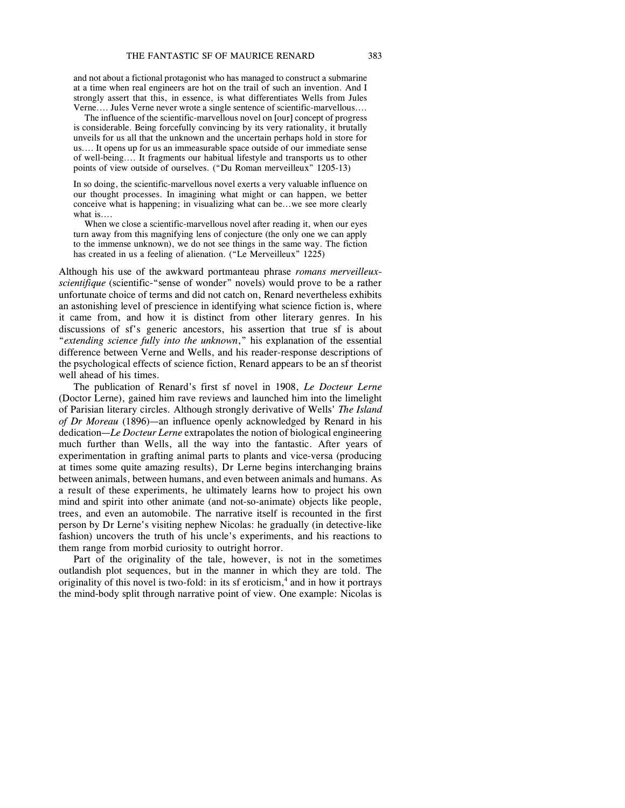and not about a fictional protagonist who has managed to construct a submarine at a time when real engineers are hot on the trail of such an invention. And I strongly assert that this, in essence, is what differentiates Wells from Jules Verne.... Jules Verne never wrote a single sentence of scientific-marvellous....

The influence of the scientific-marvellous novel on [our] concept of progress is considerable. Being forcefully convincing by its very rationality, it brutally unveils for us all that the unknown and the uncertain perhaps hold in store for us.... It opens up for us an immeasurable space outside of our immediate sense of well-being.... It fragments our habitual lifestyle and transports us to other points of view outside of ourselves. ("Du Roman merveilleux" 1205-13)

In so doing, the scientific-marvellous novel exerts a very valuable influence on our thought processes. In imagining what might or can happen, we better conceive what is happening; in visualizing what can be...we see more clearly what is....

When we close a scientific-marvellous novel after reading it, when our eyes turn away from this magnifying lens of conjecture (the only one we can apply to the immense unknown), we do not see things in the same way. The fiction has created in us a feeling of alienation. ("Le Merveilleux" 1225)

Although his use of the awkward portmanteau phrase *romans merveilleuxscientifique* (scientific-"sense of wonder" novels) would prove to be a rather unfortunate choice of terms and did not catch on, Renard nevertheless exhibits an astonishing level of prescience in identifying what science fiction is, where it came from, and how it is distinct from other literary genres. In his discussions of sf's generic ancestors, his assertion that true sf is about "*extending science fully into the unknown*," his explanation of the essential difference between Verne and Wells, and his reader-response descriptions of the psychological effects of science fiction, Renard appears to be an sf theorist well ahead of his times.

The publication of Renard's first sf novel in 1908, *Le Docteur Lerne* (Doctor Lerne), gained him rave reviews and launched him into the limelight of Parisian literary circles. Although strongly derivative of Wells' *The Island of Dr Moreau* (1896)—an influence openly acknowledged by Renard in his dedication—*Le Docteur Lerne* extrapolates the notion of biological engineering much further than Wells, all the way into the fantastic. After years of experimentation in grafting animal parts to plants and vice-versa (producing at times some quite amazing results), Dr Lerne begins interchanging brains between animals, between humans, and even between animals and humans. As a result of these experiments, he ultimately learns how to project his own mind and spirit into other animate (and not-so-animate) objects like people, trees, and even an automobile. The narrative itself is recounted in the first person by Dr Lerne's visiting nephew Nicolas: he gradually (in detective-like fashion) uncovers the truth of his uncle's experiments, and his reactions to them range from morbid curiosity to outright horror.

Part of the originality of the tale, however, is not in the sometimes outlandish plot sequences, but in the manner in which they are told. The originality of this novel is two-fold: in its sf eroticism, 4 and in how it portrays the mind-body split through narrative point of view. One example: Nicolas is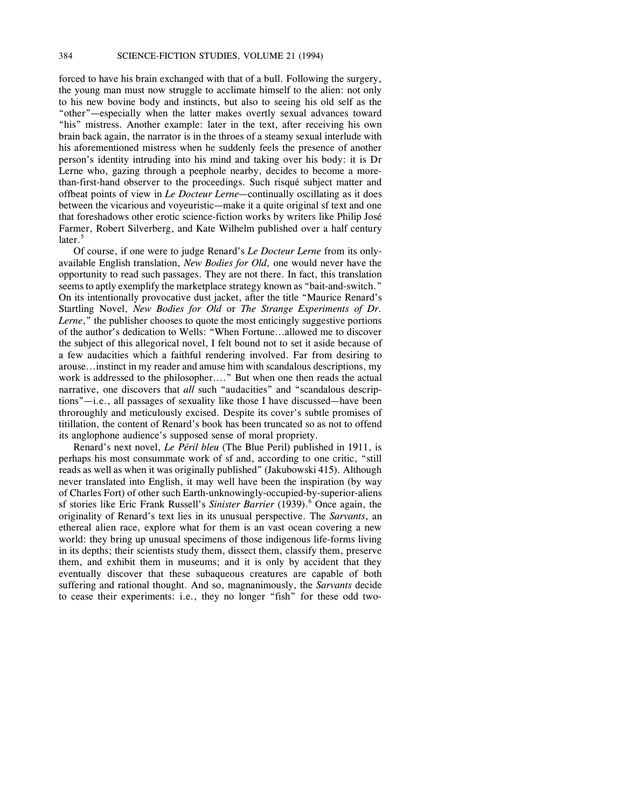forced to have his brain exchanged with that of a bull. Following the surgery, the young man must now struggle to acclimate himself to the alien: not only to his new bovine body and instincts, but also to seeing his old self as the "other"—especially when the latter makes overtly sexual advances toward "his" mistress. Another example: later in the text, after receiving his own brain back again, the narrator is in the throes of a steamy sexual interlude with his aforementioned mistress when he suddenly feels the presence of another person's identity intruding into his mind and taking over his body: it is Dr Lerne who, gazing through a peephole nearby, decides to become a morethan-first-hand observer to the proceedings. Such risqué subject matter and offbeat points of view in *Le Docteur Lerne*—continually oscillating as it does between the vicarious and voyeuristic—make it a quite original sf text and one that foreshadows other erotic science-fiction works by writers like Philip José Farmer, Robert Silverberg, and Kate Wilhelm published over a half century  $later.<sup>5</sup>$ 

Of course, if one were to judge Renard's *Le Docteur Lerne* from its onlyavailable English translation, *New Bodies for Old,* one would never have the opportunity to read such passages. They are not there. In fact, this translation seems to aptly exemplify the marketplace strategy known as "bait-and-switch." On its intentionally provocative dust jacket, after the title "Maurice Renard's Startling Novel, *New Bodies for Old* or *The Strange Experiments of Dr. Lerne*," the publisher chooses to quote the most enticingly suggestive portions of the author's dedication to Wells: "When Fortune...allowed me to discover the subject of this allegorical novel, I felt bound not to set it aside because of a few audacities which a faithful rendering involved. Far from desiring to arouse...instinct in my reader and amuse him with scandalous descriptions, my work is addressed to the philosopher...." But when one then reads the actual narrative, one discovers that *all* such "audacities" and "scandalous descriptions"—i.e., all passages of sexuality like those I have discussed—have been throroughly and meticulously excised. Despite its cover's subtle promises of titillation, the content of Renard's book has been truncated so as not to offend its anglophone audience's supposed sense of moral propriety.

Renard's next novel, *Le Péril bleu* (The Blue Peril) published in 1911, is perhaps his most consummate work of sf and, according to one critic, "still reads as well as when it was originally published" (Jakubowski 415). Although never translated into English, it may well have been the inspiration (by way of Charles Fort) of other such Earth-unknowingly-occupied-by-superior-aliens sf stories like Eric Frank Russell's *Sinister Barrier* (1939).<sup>6</sup> Once again, the originality of Renard's text lies in its unusual perspective. The *Sarvants*, an ethereal alien race, explore what for them is an vast ocean covering a new world: they bring up unusual specimens of those indigenous life-forms living in its depths; their scientists study them, dissect them, classify them, preserve them, and exhibit them in museums; and it is only by accident that they eventually discover that these subaqueous creatures are capable of both suffering and rational thought. And so, magnanimously, the *Sarvants* decide to cease their experiments: i.e., they no longer "fish" for these odd two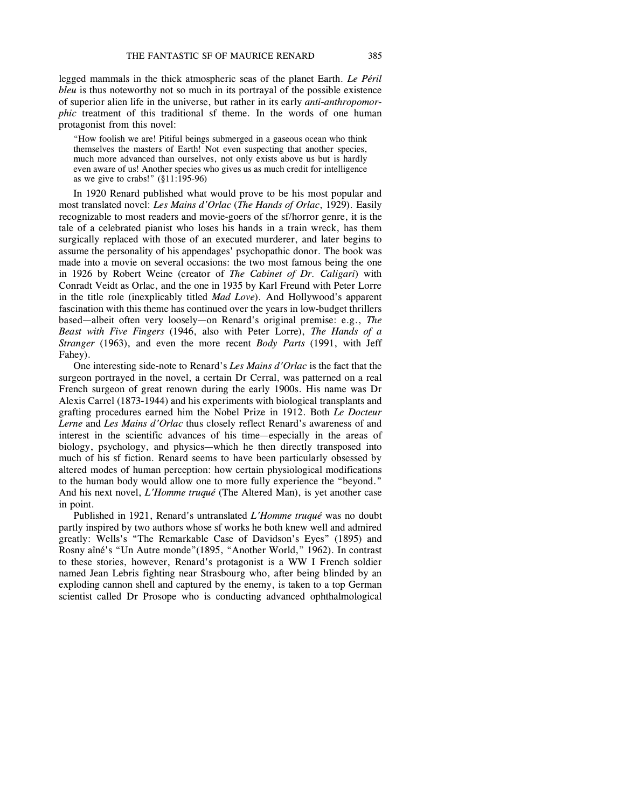legged mammals in the thick atmospheric seas of the planet Earth. *Le Péril bleu* is thus noteworthy not so much in its portrayal of the possible existence of superior alien life in the universe, but rather in its early *anti-anthropomorphic* treatment of this traditional sf theme. In the words of one human protagonist from this novel:

"How foolish we are! Pitiful beings submerged in a gaseous ocean who think themselves the masters of Earth! Not even suspecting that another species, much more advanced than ourselves, not only exists above us but is hardly even aware of us! Another species who gives us as much credit for intelligence as we give to crabs!" (§11:195-96)

In 1920 Renard published what would prove to be his most popular and most translated novel: *Les Mains d'Orlac* (*The Hands of Orlac*, 1929). Easily recognizable to most readers and movie-goers of the sf/horror genre, it is the tale of a celebrated pianist who loses his hands in a train wreck, has them surgically replaced with those of an executed murderer, and later begins to assume the personality of his appendages' psychopathic donor. The book was made into a movie on several occasions: the two most famous being the one in 1926 by Robert Weine (creator of *The Cabinet of Dr. Caligari*) with Conradt Veidt as Orlac, and the one in 1935 by Karl Freund with Peter Lorre in the title role (inexplicably titled *Mad Love*). And Hollywood's apparent fascination with this theme has continued over the years in low-budget thrillers based—albeit often very loosely—on Renard's original premise: e.g., *The Beast with Five Fingers* (1946, also with Peter Lorre), *The Hands of a Stranger* (1963), and even the more recent *Body Parts* (1991, with Jeff Fahey).

One interesting side-note to Renard's *Les Mains d'Orlac* is the fact that the surgeon portrayed in the novel, a certain Dr Cerral, was patterned on a real French surgeon of great renown during the early 1900s. His name was Dr Alexis Carrel (1873-1944) and his experiments with biological transplants and grafting procedures earned him the Nobel Prize in 1912. Both *Le Docteur Lerne* and *Les Mains d'Orlac* thus closely reflect Renard's awareness of and interest in the scientific advances of his time—especially in the areas of biology, psychology, and physics—which he then directly transposed into much of his sf fiction. Renard seems to have been particularly obsessed by altered modes of human perception: how certain physiological modifications to the human body would allow one to more fully experience the "beyond." And his next novel, *L'Homme truqué* (The Altered Man), is yet another case in point.

Published in 1921, Renard's untranslated *L'Homme truqué* was no doubt partly inspired by two authors whose sf works he both knew well and admired greatly: Wells's "The Remarkable Case of Davidson's Eyes" (1895) and Rosny aîné's "Un Autre monde"(1895, "Another World," 1962). In contrast to these stories, however, Renard's protagonist is a WW I French soldier named Jean Lebris fighting near Strasbourg who, after being blinded by an exploding cannon shell and captured by the enemy, is taken to a top German scientist called Dr Prosope who is conducting advanced ophthalmological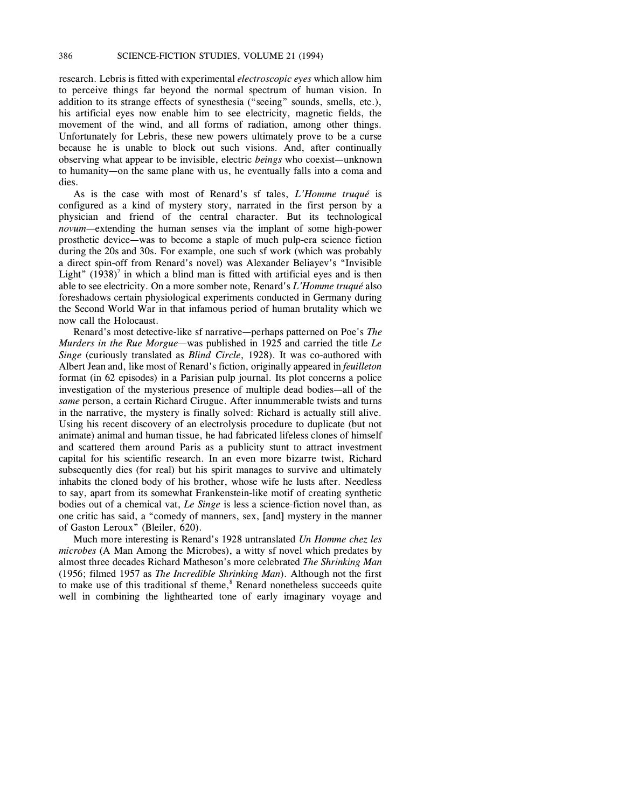research. Lebris is fitted with experimental *electroscopic eyes* which allow him to perceive things far beyond the normal spectrum of human vision. In addition to its strange effects of synesthesia ("seeing" sounds, smells, etc.), his artificial eyes now enable him to see electricity, magnetic fields, the movement of the wind, and all forms of radiation, among other things. Unfortunately for Lebris, these new powers ultimately prove to be a curse because he is unable to block out such visions. And, after continually observing what appear to be invisible, electric *beings* who coexist—unknown to humanity—on the same plane with us, he eventually falls into a coma and dies.

As is the case with most of Renard's sf tales, *L'Homme truqué* is configured as a kind of mystery story, narrated in the first person by a physician and friend of the central character. But its technological *novum*—extending the human senses via the implant of some high-power prosthetic device—was to become a staple of much pulp-era science fiction during the 20s and 30s. For example, one such sf work (which was probably a direct spin-off from Renard's novel) was Alexander Beliayev's "Invisible Light"  $(1938)^7$  in which a blind man is fitted with artificial eyes and is then able to see electricity. On a more somber note, Renard's *L'Homme truqué* also foreshadows certain physiological experiments conducted in Germany during the Second World War in that infamous period of human brutality which we now call the Holocaust.

Renard's most detective-like sf narrative—perhaps patterned on Poe's *The Murders in the Rue Morgue*—was published in 1925 and carried the title *Le Singe* (curiously translated as *Blind Circle*, 1928). It was co-authored with Albert Jean and, like most of Renard's fiction, originally appeared in *feuilleton* format (in 62 episodes) in a Parisian pulp journal. Its plot concerns a police investigation of the mysterious presence of multiple dead bodies—all of the *same* person, a certain Richard Cirugue. After innummerable twists and turns in the narrative, the mystery is finally solved: Richard is actually still alive. Using his recent discovery of an electrolysis procedure to duplicate (but not animate) animal and human tissue, he had fabricated lifeless clones of himself and scattered them around Paris as a publicity stunt to attract investment capital for his scientific research. In an even more bizarre twist, Richard subsequently dies (for real) but his spirit manages to survive and ultimately inhabits the cloned body of his brother, whose wife he lusts after. Needless to say, apart from its somewhat Frankenstein-like motif of creating synthetic bodies out of a chemical vat, *Le Singe* is less a science-fiction novel than, as one critic has said, a "comedy of manners, sex, [and] mystery in the manner of Gaston Leroux" (Bleiler, 620).

Much more interesting is Renard's 1928 untranslated *Un Homme chez les microbes* (A Man Among the Microbes), a witty sf novel which predates by almost three decades Richard Matheson's more celebrated *The Shrinking Man* (1956; filmed 1957 as *The Incredible Shrinking Man*). Although not the first to make use of this traditional sf theme, $8$  Renard nonetheless succeeds quite well in combining the lighthearted tone of early imaginary voyage and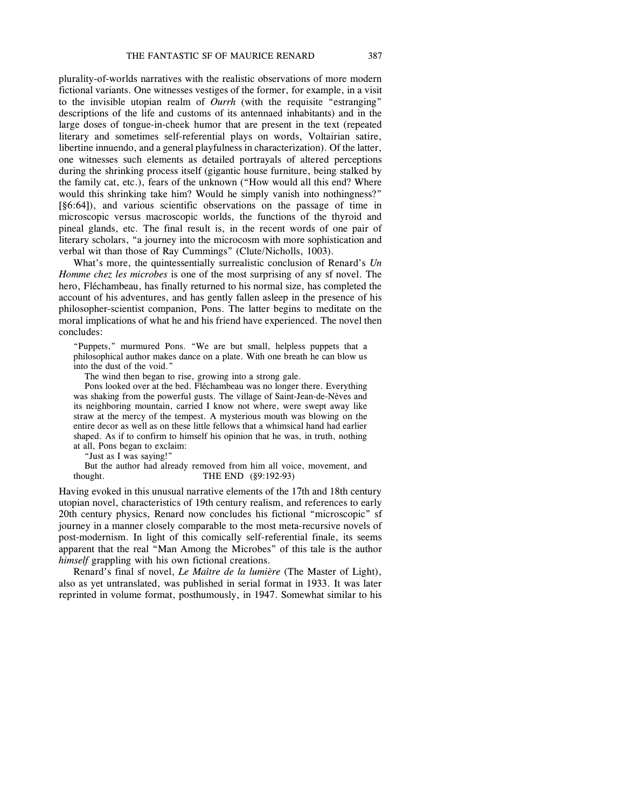plurality-of-worlds narratives with the realistic observations of more modern fictional variants. One witnesses vestiges of the former, for example, in a visit to the invisible utopian realm of *Ourrh* (with the requisite "estranging" descriptions of the life and customs of its antennaed inhabitants) and in the large doses of tongue-in-cheek humor that are present in the text (repeated literary and sometimes self-referential plays on words, Voltairian satire, libertine innuendo, and a general playfulness in characterization). Of the latter, one witnesses such elements as detailed portrayals of altered perceptions during the shrinking process itself (gigantic house furniture, being stalked by the family cat, etc.), fears of the unknown ("How would all this end? Where would this shrinking take him? Would he simply vanish into nothingness?" [§6:64]), and various scientific observations on the passage of time in microscopic versus macroscopic worlds, the functions of the thyroid and pineal glands, etc. The final result is, in the recent words of one pair of literary scholars, "a journey into the microcosm with more sophistication and verbal wit than those of Ray Cummings" (Clute/Nicholls, 1003).

What's more, the quintessentially surrealistic conclusion of Renard's *Un Homme chez les microbes* is one of the most surprising of any sf novel. The hero, Fléchambeau, has finally returned to his normal size, has completed the account of his adventures, and has gently fallen asleep in the presence of his philosopher-scientist companion, Pons. The latter begins to meditate on the moral implications of what he and his friend have experienced. The novel then concludes:

"Puppets," murmured Pons. "We are but small, helpless puppets that a philosophical author makes dance on a plate. With one breath he can blow us into the dust of the void."

The wind then began to rise, growing into a strong gale.

Pons looked over at the bed. Fléchambeau was no longer there. Everything was shaking from the powerful gusts. The village of Saint-Jean-de-Nèves and its neighboring mountain, carried I know not where, were swept away like straw at the mercy of the tempest. A mysterious mouth was blowing on the entire decor as well as on these little fellows that a whimsical hand had earlier shaped. As if to confirm to himself his opinion that he was, in truth, nothing at all, Pons began to exclaim:

"Just as I was saying!"

But the author had already removed from him all voice, movement, and thought. THE END (§9:192-93)

Having evoked in this unusual narrative elements of the 17th and 18th century utopian novel, characteristics of 19th century realism, and references to early 20th century physics, Renard now concludes his fictional "microscopic" sf journey in a manner closely comparable to the most meta-recursive novels of post-modernism. In light of this comically self-referential finale, its seems apparent that the real "Man Among the Microbes" of this tale is the author *himself* grappling with his own fictional creations.

Renard's final sf novel, *Le Maître de la lumière* (The Master of Light), also as yet untranslated, was published in serial format in 1933. It was later reprinted in volume format, posthumously, in 1947. Somewhat similar to his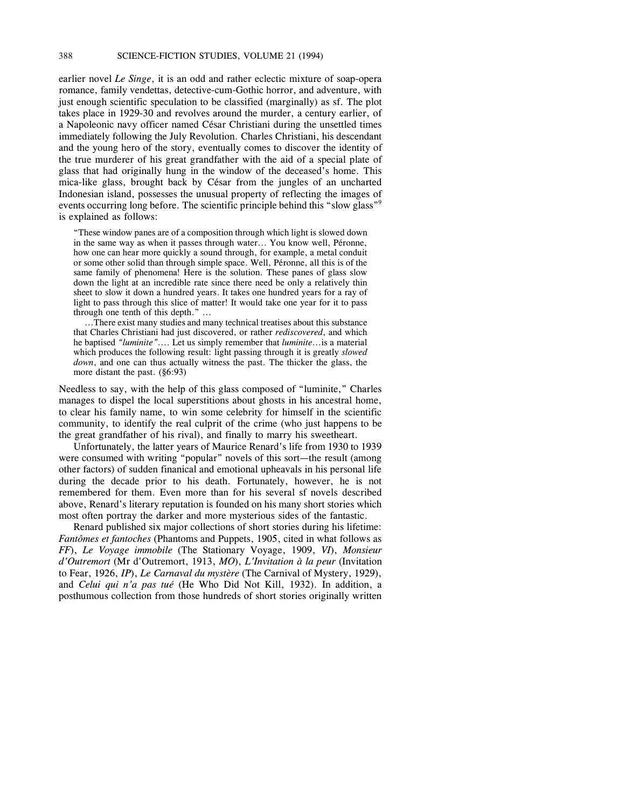earlier novel *Le Singe*, it is an odd and rather eclectic mixture of soap-opera romance, family vendettas, detective-cum-Gothic horror, and adventure, with just enough scientific speculation to be classified (marginally) as sf. The plot takes place in 1929-30 and revolves around the murder, a century earlier, of a Napoleonic navy officer named César Christiani during the unsettled times immediately following the July Revolution. Charles Christiani, his descendant and the young hero of the story, eventually comes to discover the identity of the true murderer of his great grandfather with the aid of a special plate of glass that had originally hung in the window of the deceased's home. This mica-like glass, brought back by César from the jungles of an uncharted Indonesian island, possesses the unusual property of reflecting the images of events occurring long before. The scientific principle behind this "slow glass" is explained as follows:

"These window panes are of a composition through which light is slowed down in the same way as when it passes through water... You know well, Péronne, how one can hear more quickly a sound through, for example, a metal conduit or some other solid than through simple space. Well, Péronne, all this is of the same family of phenomena! Here is the solution. These panes of glass slow down the light at an incredible rate since there need be only a relatively thin sheet to slow it down a hundred years. It takes one hundred years for a ray of light to pass through this slice of matter! It would take one year for it to pass through one tenth of this depth." ...

...There exist many studies and many technical treatises about this substance that Charles Christiani had just discovered, or rather *rediscovered*, and which he baptised *"luminite"*.... Let us simply remember that *luminite*...is a material which produces the following result: light passing through it is greatly *slowed down*, and one can thus actually witness the past. The thicker the glass, the more distant the past. (§6:93)

Needless to say, with the help of this glass composed of "luminite," Charles manages to dispel the local superstitions about ghosts in his ancestral home, to clear his family name, to win some celebrity for himself in the scientific community, to identify the real culprit of the crime (who just happens to be the great grandfather of his rival), and finally to marry his sweetheart.

Unfortunately, the latter years of Maurice Renard's life from 1930 to 1939 were consumed with writing "popular" novels of this sort—the result (among other factors) of sudden finanical and emotional upheavals in his personal life during the decade prior to his death. Fortunately, however, he is not remembered for them. Even more than for his several sf novels described above, Renard's literary reputation is founded on his many short stories which most often portray the darker and more mysterious sides of the fantastic.

Renard published six major collections of short stories during his lifetime: *Fantômes et fantoches* (Phantoms and Puppets, 1905, cited in what follows as *FF*), *Le Voyage immobile* (The Stationary Voyage, 1909, *VI*), *Monsieur d'Outremort* (Mr d'Outremort, 1913, *MO*), *L'Invitation à la peur* (Invitation to Fear, 1926, *IP*), *Le Carnaval du mystère* (The Carnival of Mystery, 1929), and *Celui qui n'a pas tué* (He Who Did Not Kill, 1932). In addition, a posthumous collection from those hundreds of short stories originally written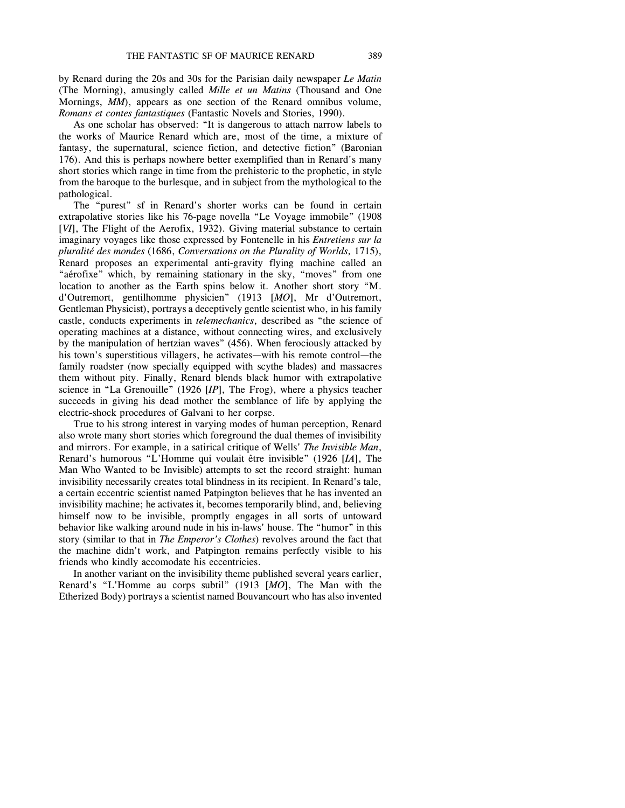by Renard during the 20s and 30s for the Parisian daily newspaper *Le Matin* (The Morning), amusingly called *Mille et un Matins* (Thousand and One Mornings, *MM*), appears as one section of the Renard omnibus volume, *Romans et contes fantastiques* (Fantastic Novels and Stories, 1990).

As one scholar has observed: "It is dangerous to attach narrow labels to the works of Maurice Renard which are, most of the time, a mixture of fantasy, the supernatural, science fiction, and detective fiction" (Baronian 176). And this is perhaps nowhere better exemplified than in Renard's many short stories which range in time from the prehistoric to the prophetic, in style from the baroque to the burlesque, and in subject from the mythological to the pathological.

The "purest" sf in Renard's shorter works can be found in certain extrapolative stories like his 76-page novella "Le Voyage immobile" (1908 [*VI*], The Flight of the Aerofix, 1932). Giving material substance to certain imaginary voyages like those expressed by Fontenelle in his *Entretiens sur la pluralité des mondes* (1686, *Conversations on the Plurality of Worlds,* 1715), Renard proposes an experimental anti-gravity flying machine called an "aérofixe" which, by remaining stationary in the sky, "moves" from one location to another as the Earth spins below it. Another short story "M. d'Outremort, gentilhomme physicien" (1913 [*MO*], Mr d'Outremort, Gentleman Physicist), portrays a deceptively gentle scientist who, in his family castle, conducts experiments in *telemechanics*, described as "the science of operating machines at a distance, without connecting wires, and exclusively by the manipulation of hertzian waves" (456). When ferociously attacked by his town's superstitious villagers, he activates—with his remote control—the family roadster (now specially equipped with scythe blades) and massacres them without pity. Finally, Renard blends black humor with extrapolative science in "La Grenouille" (1926 [*IP*], The Frog), where a physics teacher succeeds in giving his dead mother the semblance of life by applying the electric-shock procedures of Galvani to her corpse.

True to his strong interest in varying modes of human perception, Renard also wrote many short stories which foreground the dual themes of invisibility and mirrors. For example, in a satirical critique of Wells' *The Invisible Man*, Renard's humorous "L'Homme qui voulait être invisible" (1926 [*IA*], The Man Who Wanted to be Invisible) attempts to set the record straight: human invisibility necessarily creates total blindness in its recipient. In Renard's tale, a certain eccentric scientist named Patpington believes that he has invented an invisibility machine; he activates it, becomes temporarily blind, and, believing himself now to be invisible, promptly engages in all sorts of untoward behavior like walking around nude in his in-laws' house. The "humor" in this story (similar to that in *The Emperor's Clothes*) revolves around the fact that the machine didn't work, and Patpington remains perfectly visible to his friends who kindly accomodate his eccentricies.

In another variant on the invisibility theme published several years earlier, Renard's "L'Homme au corps subtil" (1913 [*MO*], The Man with the Etherized Body) portrays a scientist named Bouvancourt who has also invented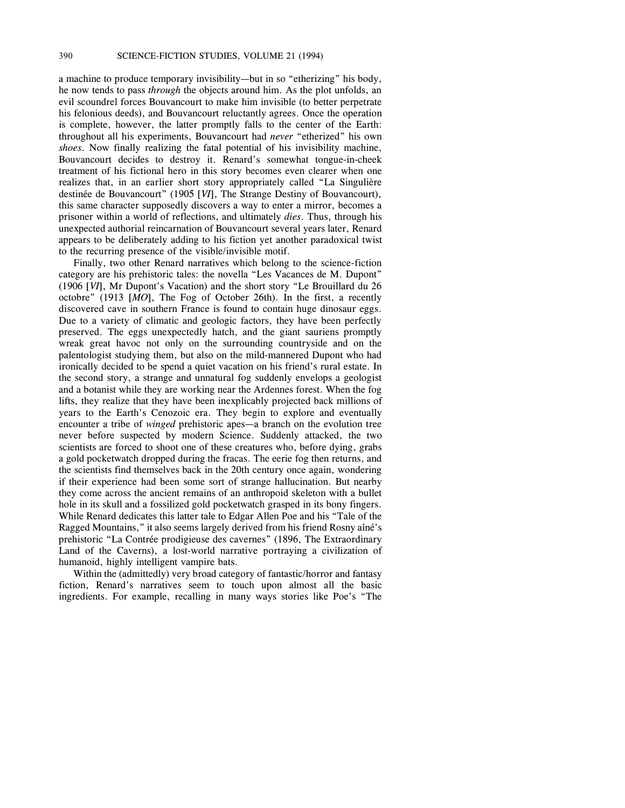a machine to produce temporary invisibility—but in so "etherizing" his body, he now tends to pass *through* the objects around him. As the plot unfolds, an evil scoundrel forces Bouvancourt to make him invisible (to better perpetrate his felonious deeds), and Bouvancourt reluctantly agrees. Once the operation is complete, however, the latter promptly falls to the center of the Earth: throughout all his experiments, Bouvancourt had *never* "etherized" his own *shoes*. Now finally realizing the fatal potential of his invisibility machine, Bouvancourt decides to destroy it. Renard's somewhat tongue-in-cheek treatment of his fictional hero in this story becomes even clearer when one realizes that, in an earlier short story appropriately called "La Singulière destinée de Bouvancourt" (1905 [*VI*], The Strange Destiny of Bouvancourt), this same character supposedly discovers a way to enter a mirror, becomes a prisoner within a world of reflections, and ultimately *dies*. Thus, through his unexpected authorial reincarnation of Bouvancourt several years later, Renard appears to be deliberately adding to his fiction yet another paradoxical twist to the recurring presence of the visible/invisible motif.

Finally, two other Renard narratives which belong to the science-fiction category are his prehistoric tales: the novella "Les Vacances de M. Dupont" (1906 [*VI*], Mr Dupont's Vacation) and the short story "Le Brouillard du 26 octobre" (1913 [*MO*], The Fog of October 26th). In the first, a recently discovered cave in southern France is found to contain huge dinosaur eggs. Due to a variety of climatic and geologic factors, they have been perfectly preserved. The eggs unexpectedly hatch, and the giant sauriens promptly wreak great havoc not only on the surrounding countryside and on the palentologist studying them, but also on the mild-mannered Dupont who had ironically decided to be spend a quiet vacation on his friend's rural estate. In the second story, a strange and unnatural fog suddenly envelops a geologist and a botanist while they are working near the Ardennes forest. When the fog lifts, they realize that they have been inexplicably projected back millions of years to the Earth's Cenozoic era. They begin to explore and eventually encounter a tribe of *winged* prehistoric apes—a branch on the evolution tree never before suspected by modern Science. Suddenly attacked, the two scientists are forced to shoot one of these creatures who, before dying, grabs a gold pocketwatch dropped during the fracas. The eerie fog then returns, and the scientists find themselves back in the 20th century once again, wondering if their experience had been some sort of strange hallucination. But nearby they come across the ancient remains of an anthropoid skeleton with a bullet hole in its skull and a fossilized gold pocketwatch grasped in its bony fingers. While Renard dedicates this latter tale to Edgar Allen Poe and his "Tale of the Ragged Mountains," it also seems largely derived from his friend Rosny aîné's prehistoric "La Contrée prodigieuse des cavernes" (1896, The Extraordinary Land of the Caverns), a lost-world narrative portraying a civilization of humanoid, highly intelligent vampire bats.

Within the (admittedly) very broad category of fantastic/horror and fantasy fiction, Renard's narratives seem to touch upon almost all the basic ingredients. For example, recalling in many ways stories like Poe's "The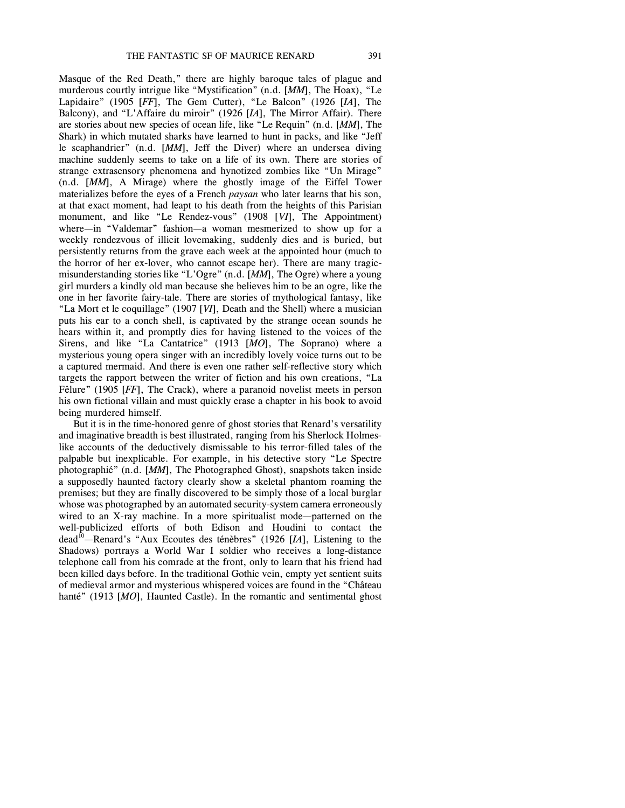murderous courtly intrigue like "Mystification" (n.d. [*MM*], The Hoax), "Le Lapidaire" (1905 [*FF*], The Gem Cutter), "Le Balcon" (1926 [*IA*], The Balcony), and "L'Affaire du miroir" (1926 [*IA*], The Mirror Affair). There are stories about new species of ocean life, like "Le Requin" (n.d. [*MM*], The Shark) in which mutated sharks have learned to hunt in packs, and like "Jeff le scaphandrier" (n.d. [*MM*], Jeff the Diver) where an undersea diving machine suddenly seems to take on a life of its own. There are stories of strange extrasensory phenomena and hynotized zombies like "Un Mirage" (n.d. [*MM*], A Mirage) where the ghostly image of the Eiffel Tower materializes before the eyes of a French *paysan* who later learns that his son, at that exact moment, had leapt to his death from the heights of this Parisian monument, and like "Le Rendez-vous" (1908 [*VI*], The Appointment) where—in "Valdemar" fashion—a woman mesmerized to show up for a weekly rendezvous of illicit lovemaking, suddenly dies and is buried, but persistently returns from the grave each week at the appointed hour (much to the horror of her ex-lover, who cannot escape her). There are many tragicmisunderstanding stories like "L'Ogre" (n.d. [*MM*], The Ogre) where a young girl murders a kindly old man because she believes him to be an ogre, like the one in her favorite fairy-tale. There are stories of mythological fantasy, like "La Mort et le coquillage" (1907 [*VI*], Death and the Shell) where a musician puts his ear to a conch shell, is captivated by the strange ocean sounds he hears within it, and promptly dies for having listened to the voices of the Sirens, and like "La Cantatrice" (1913 [*MO*], The Soprano) where a mysterious young opera singer with an incredibly lovely voice turns out to be a captured mermaid. And there is even one rather self-reflective story which targets the rapport between the writer of fiction and his own creations, "La Fêlure" (1905 [*FF*], The Crack), where a paranoid novelist meets in person his own fictional villain and must quickly erase a chapter in his book to avoid being murdered himself.

But it is in the time-honored genre of ghost stories that Renard's versatility and imaginative breadth is best illustrated, ranging from his Sherlock Holmeslike accounts of the deductively dismissable to his terror-filled tales of the palpable but inexplicable. For example, in his detective story "Le Spectre photographié" (n.d. [*MM*], The Photographed Ghost), snapshots taken inside a supposedly haunted factory clearly show a skeletal phantom roaming the premises; but they are finally discovered to be simply those of a local burglar whose was photographed by an automated security-system camera erroneously wired to an X-ray machine. In a more spiritualist mode—patterned on the well-publicized efforts of both Edison and Houdini to contact the dead<sup>10</sup>—Renard's "Aux Ecoutes des ténèbres" (1926 [*IA*], Listening to the Shadows) portrays a World War I soldier who receives a long-distance telephone call from his comrade at the front, only to learn that his friend had been killed days before. In the traditional Gothic vein, empty yet sentient suits of medieval armor and mysterious whispered voices are found in the "Château hanté" (1913 [*MO*], Haunted Castle). In the romantic and sentimental ghost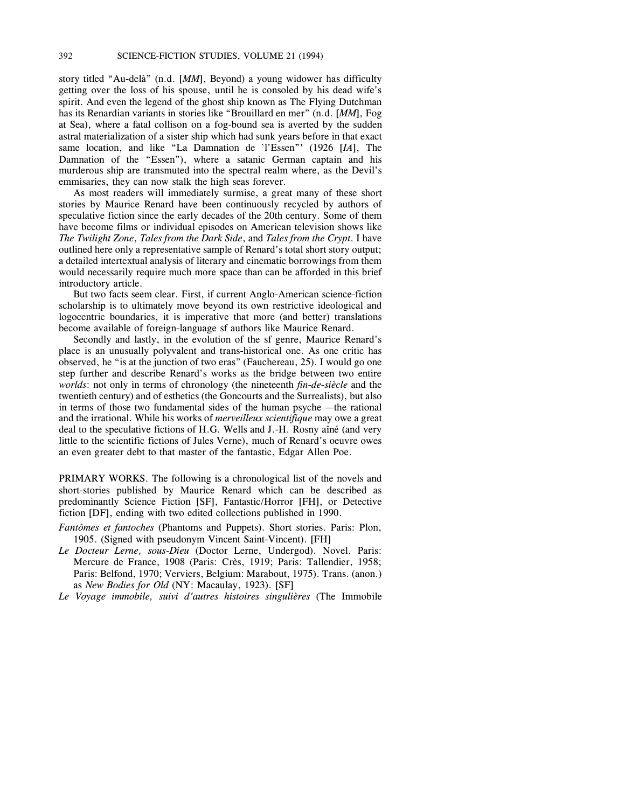story titled "Au-delà" (n.d. [*MM*], Beyond) a young widower has difficulty getting over the loss of his spouse, until he is consoled by his dead wife's spirit. And even the legend of the ghost ship known as The Flying Dutchman has its Renardian variants in stories like "Brouillard en mer" (n.d. [*MM*], Fog at Sea), where a fatal collison on a fog-bound sea is averted by the sudden astral materialization of a sister ship which had sunk years before in that exact same location, and like "La Damnation de `l'Essen"' (1926 [*IA*], The Damnation of the "Essen"), where a satanic German captain and his murderous ship are transmuted into the spectral realm where, as the Devil's emmisaries, they can now stalk the high seas forever.

As most readers will immediately surmise, a great many of these short stories by Maurice Renard have been continuously recycled by authors of speculative fiction since the early decades of the 20th century. Some of them have become films or individual episodes on American television shows like *The Twilight Zone*, *Tales from the Dark Side*, and *Tales from the Crypt*. I have outlined here only a representative sample of Renard's total short story output; a detailed intertextual analysis of literary and cinematic borrowings from them would necessarily require much more space than can be afforded in this brief introductory article.

But two facts seem clear. First, if current Anglo-American science-fiction scholarship is to ultimately move beyond its own restrictive ideological and logocentric boundaries, it is imperative that more (and better) translations become available of foreign-language sf authors like Maurice Renard.

Secondly and lastly, in the evolution of the sf genre, Maurice Renard's place is an unusually polyvalent and trans-historical one. As one critic has observed, he "is at the junction of two eras" (Fauchereau, 25). I would go one step further and describe Renard's works as the bridge between two entire *worlds*: not only in terms of chronology (the nineteenth *fin-de-siècle* and the twentieth century) and of esthetics (the Goncourts and the Surrealists), but also in terms of those two fundamental sides of the human psyche —the rational and the irrational. While his works of *merveilleux scientifique* may owe a great deal to the speculative fictions of H.G. Wells and J.-H. Rosny aîné (and very little to the scientific fictions of Jules Verne), much of Renard's oeuvre owes an even greater debt to that master of the fantastic, Edgar Allen Poe.

PRIMARY WORKS. The following is a chronological list of the novels and short-stories published by Maurice Renard which can be described as predominantly Science Fiction [SF], Fantastic/Horror [FH], or Detective fiction [DF], ending with two edited collections published in 1990.

- *Fantômes et fantoches* (Phantoms and Puppets). Short stories. Paris: Plon, 1905. (Signed with pseudonym Vincent Saint-Vincent). [FH]
- *Le Docteur Lerne, sous-Dieu* (Doctor Lerne, Undergod). Novel. Paris: Mercure de France, 1908 (Paris: Crès, 1919; Paris: Tallendier, 1958; Paris: Belfond, 1970; Verviers, Belgium: Marabout, 1975). Trans. (anon.) as *New Bodies for Old* (NY: Macaulay, 1923). [SF]
- *Le Voyage immobile, suivi d'autres histoires singulières* (The Immobile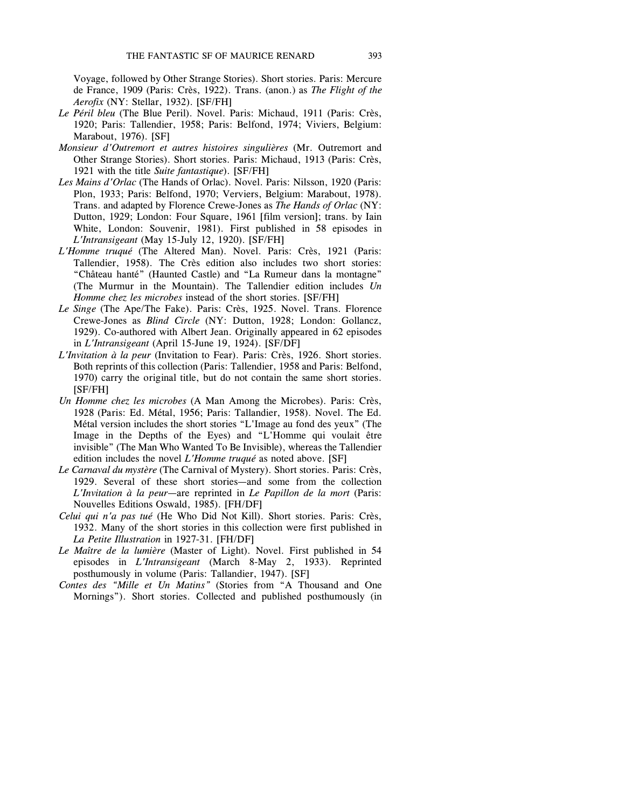Voyage, followed by Other Strange Stories). Short stories. Paris: Mercure de France, 1909 (Paris: Crès, 1922). Trans. (anon.) as *The Flight of the Aerofix* (NY: Stellar, 1932). [SF/FH]

- *Le Péril bleu* (The Blue Peril). Novel. Paris: Michaud, 1911 (Paris: Crès, 1920; Paris: Tallendier, 1958; Paris: Belfond, 1974; Viviers, Belgium: Marabout, 1976). [SF]
- *Monsieur d'Outremort et autres histoires singulières* (Mr. Outremort and Other Strange Stories). Short stories. Paris: Michaud, 1913 (Paris: Crès, 1921 with the title *Suite fantastique*). [SF/FH]
- *Les Mains d'Orlac* (The Hands of Orlac). Novel. Paris: Nilsson, 1920 (Paris: Plon, 1933; Paris: Belfond, 1970; Verviers, Belgium: Marabout, 1978). Trans. and adapted by Florence Crewe-Jones as *The Hands of Orlac* (NY: Dutton, 1929; London: Four Square, 1961 [film version]; trans. by Iain White, London: Souvenir, 1981). First published in 58 episodes in *L'Intransigeant* (May 15-July 12, 1920). [SF/FH]
- *L'Homme truqué* (The Altered Man). Novel. Paris: Crès, 1921 (Paris: Tallendier, 1958). The Crès edition also includes two short stories: "Château hanté" (Haunted Castle) and "La Rumeur dans la montagne" (The Murmur in the Mountain). The Tallendier edition includes *Un Homme chez les microbes* instead of the short stories. [SF/FH]
- *Le Singe* (The Ape/The Fake). Paris: Crès, 1925. Novel. Trans. Florence Crewe-Jones as *Blind Circle* (NY: Dutton, 1928; London: Gollancz, 1929). Co-authored with Albert Jean. Originally appeared in 62 episodes in *L'Intransigeant* (April 15-June 19, 1924). [SF/DF]
- *L'Invitation à la peur* (Invitation to Fear). Paris: Crès, 1926. Short stories. Both reprints of this collection (Paris: Tallendier, 1958 and Paris: Belfond, 1970) carry the original title, but do not contain the same short stories. [SF/FH]
- *Un Homme chez les microbes* (A Man Among the Microbes). Paris: Crès, 1928 (Paris: Ed. Métal, 1956; Paris: Tallandier, 1958). Novel. The Ed. Métal version includes the short stories "L'Image au fond des yeux" (The Image in the Depths of the Eyes) and "L'Homme qui voulait être invisible" (The Man Who Wanted To Be Invisible), whereas the Tallendier edition includes the novel *L'Homme truqué* as noted above. [SF]
- *Le Carnaval du mystère* (The Carnival of Mystery). Short stories. Paris: Crès, 1929. Several of these short stories—and some from the collection *L'Invitation à la peur*—are reprinted in *Le Papillon de la mort* (Paris: Nouvelles Editions Oswald, 1985). [FH/DF]
- *Celui qui n'a pas tué* (He Who Did Not Kill). Short stories. Paris: Crès, 1932. Many of the short stories in this collection were first published in *La Petite Illustration* in 1927-31. [FH/DF]
- *Le Maître de la lumière* (Master of Light). Novel. First published in 54 episodes in *L'Intransigeant* (March 8-May 2, 1933). Reprinted posthumously in volume (Paris: Tallandier, 1947). [SF]
- *Contes des "Mille et Un Matins"* (Stories from "A Thousand and One Mornings"). Short stories. Collected and published posthumously (in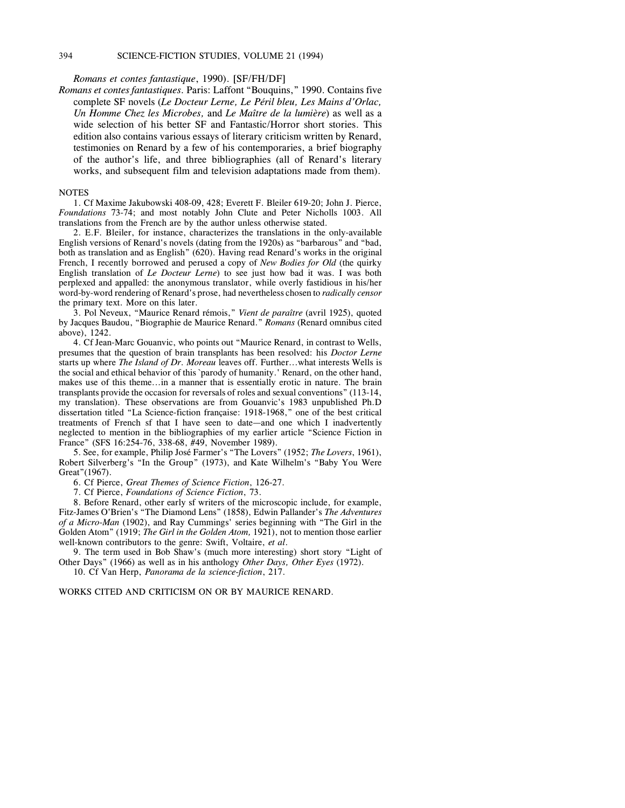#### 394 SCIENCE-FICTION STUDIES, VOLUME 21 (1994)

*Romans et contes fantastique*, 1990). [SF/FH/DF]

*Romans et contes fantastiques.* Paris: Laffont "Bouquins," 1990. Contains five complete SF novels (*Le Docteur Lerne, Le Péril bleu, Les Mains d'Orlac, Un Homme Chez les Microbes,* and *Le Maître de la lumière*) as well as a wide selection of his better SF and Fantastic/Horror short stories. This edition also contains various essays of literary criticism written by Renard, testimonies on Renard by a few of his contemporaries, a brief biography of the author's life, and three bibliographies (all of Renard's literary works, and subsequent film and television adaptations made from them).

#### **NOTES**

1. Cf Maxime Jakubowski 408-09, 428; Everett F. Bleiler 619-20; John J. Pierce, *Foundations* 73-74; and most notably John Clute and Peter Nicholls 1003. All translations from the French are by the author unless otherwise stated.

2. E.F. Bleiler, for instance, characterizes the translations in the only-available English versions of Renard's novels (dating from the 1920s) as "barbarous" and "bad, both as translation and as English" (620). Having read Renard's works in the original French, I recently borrowed and perused a copy of *New Bodies for Old* (the quirky English translation of *Le Docteur Lerne*) to see just how bad it was. I was both perplexed and appalled: the anonymous translator, while overly fastidious in his/her word-by-word rendering of Renard's prose, had nevertheless chosen to *radically censor* the primary text. More on this later.

3. Pol Neveux, "Maurice Renard rémois," *Vient de paraître* (avril 1925), quoted by Jacques Baudou, "Biographie de Maurice Renard." *Romans* (Renard omnibus cited above), 1242.

4. Cf Jean-Marc Gouanvic, who points out "Maurice Renard, in contrast to Wells, presumes that the question of brain transplants has been resolved: his *Doctor Lerne* starts up where *The Island of Dr. Moreau* leaves off. Further...what interests Wells is the social and ethical behavior of this `parody of humanity.' Renard, on the other hand, makes use of this theme...in a manner that is essentially erotic in nature. The brain transplants provide the occasion for reversals of roles and sexual conventions" (113-14, my translation). These observations are from Gouanvic's 1983 unpublished Ph.D dissertation titled "La Science-fiction française: 1918-1968," one of the best critical treatments of French sf that I have seen to date—and one which I inadvertently neglected to mention in the bibliographies of my earlier article "Science Fiction in France" (SFS 16:254-76, 338-68, #49, November 1989).

5. See, for example, Philip José Farmer's "The Lovers" (1952; *The Lovers*, 1961), Robert Silverberg's "In the Group" (1973), and Kate Wilhelm's "Baby You Were Great"(1967).

6. Cf Pierce, *Great Themes of Science Fiction*, 126-27.

7. Cf Pierce, *Foundations of Science Fiction*, 73.

8. Before Renard, other early sf writers of the microscopic include, for example, Fitz-James O'Brien's "The Diamond Lens" (1858), Edwin Pallander's *The Adventures of a Micro-Man* (1902), and Ray Cummings' series beginning with "The Girl in the Golden Atom" (1919; *The Girl in the Golden Atom,* 1921), not to mention those earlier well-known contributors to the genre: Swift, Voltaire, *et al*.

9. The term used in Bob Shaw's (much more interesting) short story "Light of Other Days" (1966) as well as in his anthology *Other Days, Other Eyes* (1972).

10. Cf Van Herp, *Panorama de la science-fiction*, 217.

WORKS CITED AND CRITICISM ON OR BY MAURICE RENARD.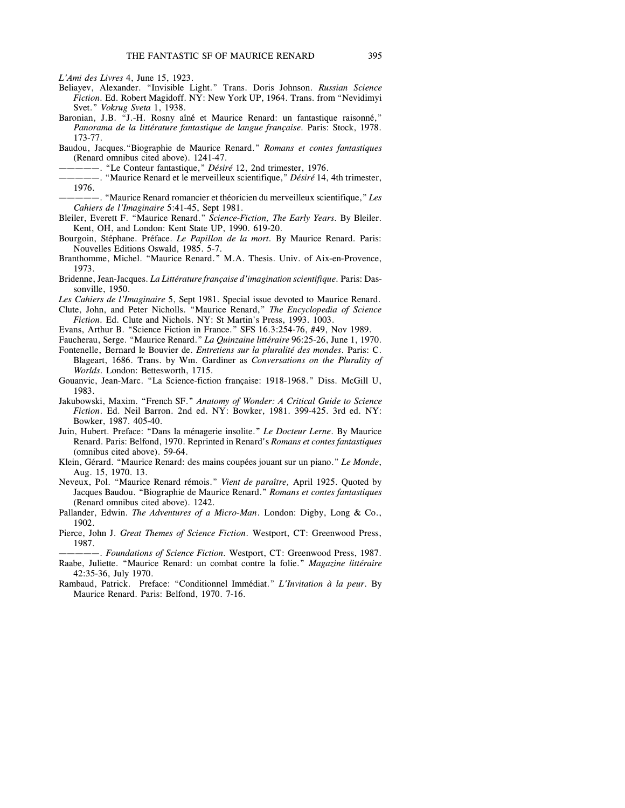*L'Ami des Livres* 4, June 15, 1923.

- Beliayev, Alexander. "Invisible Light." Trans. Doris Johnson. *Russian Science Fiction.* Ed. Robert Magidoff. NY: New York UP, 1964. Trans. from "Nevidimyi Svet." *Vokrug Sveta* 1, 1938.
- Baronian, J.B. "J.-H. Rosny aîné et Maurice Renard: un fantastique raisonné," *Panorama de la littérature fantastique de langue française.* Paris: Stock, 1978. 173-77.
- Baudou, Jacques."Biographie de Maurice Renard." *Romans et contes fantastiques* (Renard omnibus cited above). 1241-47.
	- —————. "Le Conteur fantastique," *Désiré* 12, 2nd trimester, 1976.
- —————. "Maurice Renard et le merveilleux scientifique," *Désiré* 14, 4th trimester, 1976.
- —————. "Maurice Renard romancier et théoricien du merveilleux scientifique," *Les Cahiers de l'Imaginaire* 5:41-45, Sept 1981.
- Bleiler, Everett F. "Maurice Renard." *Science-Fiction, The Early Years.* By Bleiler. Kent, OH, and London: Kent State UP, 1990. 619-20.
- Bourgoin, Stéphane. Préface. *Le Papillon de la mort.* By Maurice Renard. Paris: Nouvelles Editions Oswald, 1985. 5-7.
- Branthomme, Michel. "Maurice Renard." M.A. Thesis. Univ. of Aix-en-Provence, 1973.
- Bridenne, Jean-Jacques. *La Littérature française d'imagination scientifique.* Paris: Dassonville, 1950.
- *Les Cahiers de l'Imaginaire* 5, Sept 1981. Special issue devoted to Maurice Renard. Clute, John, and Peter Nicholls. "Maurice Renard," *The Encyclopedia of Science Fiction.* Ed. Clute and Nichols. NY: St Martin's Press, 1993. 1003.
- Evans, Arthur B. "Science Fiction in France." SFS 16.3:254-76, #49, Nov 1989.
- Faucherau, Serge. "Maurice Renard." *La Quinzaine littéraire* 96:25-26, June 1, 1970.
- Fontenelle, Bernard le Bouvier de. *Entretiens sur la pluralité des mondes*. Paris: C. Blageart, 1686. Trans. by Wm. Gardiner as *Conversations on the Plurality of Worlds.* London: Bettesworth, 1715.
- Gouanvic, Jean-Marc. "La Science-fiction française: 1918-1968." Diss. McGill U, 1983.
- Jakubowski, Maxim. "French SF." *Anatomy of Wonder: A Critical Guide to Science Fiction*. Ed. Neil Barron. 2nd ed. NY: Bowker, 1981. 399-425. 3rd ed. NY: Bowker, 1987. 405-40.
- Juin, Hubert. Preface: "Dans la ménagerie insolite." *Le Docteur Lerne*. By Maurice Renard. Paris: Belfond, 1970. Reprinted in Renard's *Romans et contes fantastiques* (omnibus cited above). 59-64.
- Klein, Gérard. "Maurice Renard: des mains coupées jouant sur un piano." *Le Monde*, Aug. 15, 1970. 13.
- Neveux, Pol. "Maurice Renard rémois." *Vient de paraître,* April 1925. Quoted by Jacques Baudou. "Biographie de Maurice Renard." *Romans et contes fantastiques* (Renard omnibus cited above). 1242.
- Pallander, Edwin. *The Adventures of a Micro-Man*. London: Digby, Long & Co., 1902.
- Pierce, John J. *Great Themes of Science Fiction.* Westport, CT: Greenwood Press, 1987.

—————. *Foundations of Science Fiction.* Westport, CT: Greenwood Press, 1987. Raabe, Juliette. "Maurice Renard: un combat contre la folie." *Magazine littéraire* 42:35-36, July 1970.

Rambaud, Patrick. Preface: "Conditionnel Immédiat." *L'Invitation à la peur*. By Maurice Renard. Paris: Belfond, 1970. 7-16.